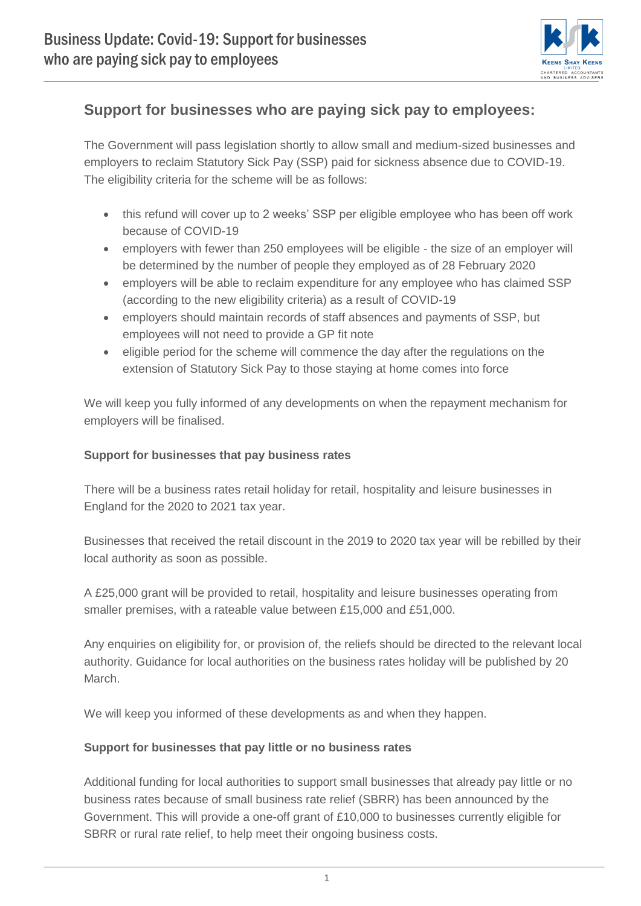

# **Support for businesses who are paying sick pay to employees:**

The Government will pass legislation shortly to allow small and medium-sized businesses and employers to reclaim Statutory Sick Pay (SSP) paid for sickness absence due to COVID-19. The eligibility criteria for the scheme will be as follows:

- this refund will cover up to 2 weeks' SSP per eligible employee who has been off work because of COVID-19
- employers with fewer than 250 employees will be eligible the size of an employer will be determined by the number of people they employed as of 28 February 2020
- employers will be able to reclaim expenditure for any employee who has claimed SSP (according to the new eligibility criteria) as a result of COVID-19
- employers should maintain records of staff absences and payments of SSP, but employees will not need to provide a GP fit note
- eligible period for the scheme will commence the day after the regulations on the extension of Statutory Sick Pay to those staying at home comes into force

We will keep you fully informed of any developments on when the repayment mechanism for employers will be finalised.

### **Support for businesses that pay business rates**

There will be a business rates retail holiday for retail, hospitality and leisure businesses in England for the 2020 to 2021 tax year.

Businesses that received the retail discount in the 2019 to 2020 tax year will be rebilled by their local authority as soon as possible.

A £25,000 grant will be provided to retail, hospitality and leisure businesses operating from smaller premises, with a rateable value between £15,000 and £51,000.

Any enquiries on eligibility for, or provision of, the reliefs should be directed to the relevant local authority. Guidance for local authorities on the business rates holiday will be published by 20 March.

We will keep you informed of these developments as and when they happen.

### **Support for businesses that pay little or no business rates**

Additional funding for local authorities to support small businesses that already pay little or no business rates because of small business rate relief (SBRR) has been announced by the Government. This will provide a one-off grant of £10,000 to businesses currently eligible for SBRR or rural rate relief, to help meet their ongoing business costs.